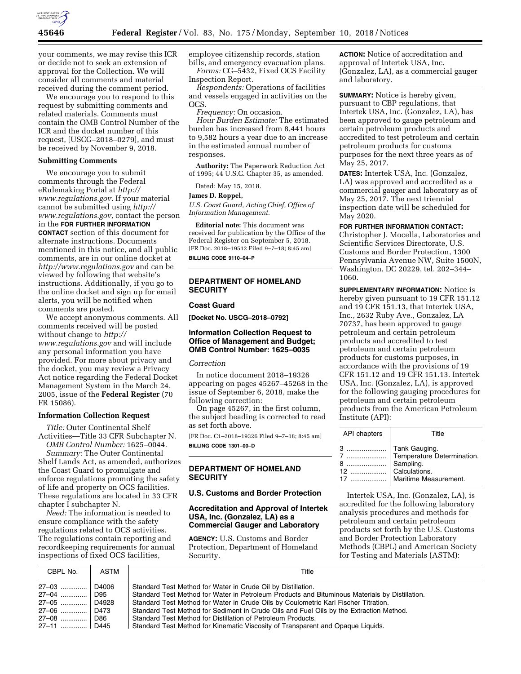

your comments, we may revise this ICR or decide not to seek an extension of approval for the Collection. We will consider all comments and material received during the comment period.

We encourage you to respond to this request by submitting comments and related materials. Comments must contain the OMB Control Number of the ICR and the docket number of this request, [USCG–2018–0279], and must be received by November 9, 2018.

#### **Submitting Comments**

We encourage you to submit comments through the Federal eRulemaking Portal at *[http://](http://www.regulations.gov) [www.regulations.gov.](http://www.regulations.gov)* If your material cannot be submitted using *[http://](http://www.regulations.gov) [www.regulations.gov,](http://www.regulations.gov)* contact the person in the **FOR FURTHER INFORMATION CONTACT** section of this document for alternate instructions. Documents mentioned in this notice, and all public comments, are in our online docket at *<http://www.regulations.gov>* and can be viewed by following that website's instructions. Additionally, if you go to the online docket and sign up for email alerts, you will be notified when comments are posted.

We accept anonymous comments. All comments received will be posted without change to *[http://](http://www.regulations.gov) [www.regulations.gov](http://www.regulations.gov)* and will include any personal information you have provided. For more about privacy and the docket, you may review a Privacy Act notice regarding the Federal Docket Management System in the March 24, 2005, issue of the **Federal Register** (70 FR 15086).

## **Information Collection Request**

*Title:* Outer Continental Shelf Activities—Title 33 CFR Subchapter N. *OMB Control Number:* 1625–0044.

*Summary:* The Outer Continental Shelf Lands Act, as amended, authorizes the Coast Guard to promulgate and enforce regulations promoting the safety of life and property on OCS facilities. These regulations are located in 33 CFR chapter I subchapter N.

*Need:* The information is needed to ensure compliance with the safety regulations related to OCS activities. The regulations contain reporting and recordkeeping requirements for annual inspections of fixed OCS facilities,

employee citizenship records, station bills, and emergency evacuation plans. *Forms:* CG–5432, Fixed OCS Facility

Inspection Report. *Respondents:* Operations of facilities and vessels engaged in activities on the

OCS. *Frequency:* On occasion.

*Hour Burden Estimate:* The estimated burden has increased from 8,441 hours to 9,582 hours a year due to an increase in the estimated annual number of responses.

**Authority:** The Paperwork Reduction Act of 1995; 44 U.S.C. Chapter 35, as amended.

Dated: May 15, 2018.

#### **James D. Roppel,**

*U.S. Coast Guard, Acting Chief, Office of Information Management.* 

**Editorial note:** This document was received for publication by the Office of the Federal Register on September 5, 2018. [FR Doc. 2018–19512 Filed 9–7–18; 8:45 am] **BILLING CODE 9110–04–P** 

# **DEPARTMENT OF HOMELAND SECURITY**

#### **Coast Guard**

**[Docket No. USCG–2018–0792]** 

### **Information Collection Request to Office of Management and Budget; OMB Control Number: 1625–0035**

## *Correction*

In notice document 2018–19326 appearing on pages 45267–45268 in the issue of September 6, 2018, make the following correction:

On page 45267, in the first column, the subject heading is corrected to read as set forth above.

[FR Doc. C1–2018–19326 Filed 9–7–18; 8:45 am] **BILLING CODE 1301–00–D** 

## **DEPARTMENT OF HOMELAND SECURITY**

### **U.S. Customs and Border Protection**

#### **Accreditation and Approval of Intertek USA, Inc. (Gonzalez, LA) as a Commercial Gauger and Laboratory**

**AGENCY:** U.S. Customs and Border Protection, Department of Homeland Security.

**ACTION:** Notice of accreditation and approval of Intertek USA, Inc. (Gonzalez, LA), as a commercial gauger and laboratory.

**SUMMARY:** Notice is hereby given, pursuant to CBP regulations, that Intertek USA, Inc. (Gonzalez, LA), has been approved to gauge petroleum and certain petroleum products and accredited to test petroleum and certain petroleum products for customs purposes for the next three years as of May 25, 2017.

**DATES:** Intertek USA, Inc. (Gonzalez, LA) was approved and accredited as a commercial gauger and laboratory as of May 25, 2017. The next triennial inspection date will be scheduled for May 2020.

**FOR FURTHER INFORMATION CONTACT:**  Christopher J. Mocella, Laboratories and Scientific Services Directorate, U.S. Customs and Border Protection, 1300 Pennsylvania Avenue NW, Suite 1500N, Washington, DC 20229, tel. 202–344– 1060.

**SUPPLEMENTARY INFORMATION:** Notice is hereby given pursuant to 19 CFR 151.12 and 19 CFR 151.13, that Intertek USA, Inc., 2632 Ruby Ave., Gonzalez, LA 70737, has been approved to gauge petroleum and certain petroleum products and accredited to test petroleum and certain petroleum products for customs purposes, in accordance with the provisions of 19 CFR 151.12 and 19 CFR 151.13. Intertek USA, Inc. (Gonzalez, LA), is approved for the following gauging procedures for petroleum and certain petroleum products from the American Petroleum Institute (API):

| API chapters | Title                                                 |
|--------------|-------------------------------------------------------|
|              | 3    Tank Gauging.<br>7    Temperature Determination. |
|              | Maritime Measurement.                                 |

Intertek USA, Inc. (Gonzalez, LA), is accredited for the following laboratory analysis procedures and methods for petroleum and certain petroleum products set forth by the U.S. Customs and Border Protection Laboratory Methods (CBPL) and American Society for Testing and Materials (ASTM):

| CBPL No.                                                           | ASTM  | Title                                                                                                                                                                                                                                                                                                                                                                                                            |
|--------------------------------------------------------------------|-------|------------------------------------------------------------------------------------------------------------------------------------------------------------------------------------------------------------------------------------------------------------------------------------------------------------------------------------------------------------------------------------------------------------------|
| 27-03<br>27-04    D95<br>27-05  D4928<br>27–06  D473<br>27–08  D86 | D4006 | Standard Test Method for Water in Crude Oil by Distillation.<br>Standard Test Method for Water in Petroleum Products and Bituminous Materials by Distillation.<br>Standard Test Method for Water in Crude Oils by Coulometric Karl Fischer Titration.<br>Standard Test Method for Sediment in Crude Oils and Fuel Oils by the Extraction Method.<br>Standard Test Method for Distillation of Petroleum Products. |
| 27–11  D445                                                        |       | Standard Test Method for Kinematic Viscosity of Transparent and Opaque Liquids.                                                                                                                                                                                                                                                                                                                                  |